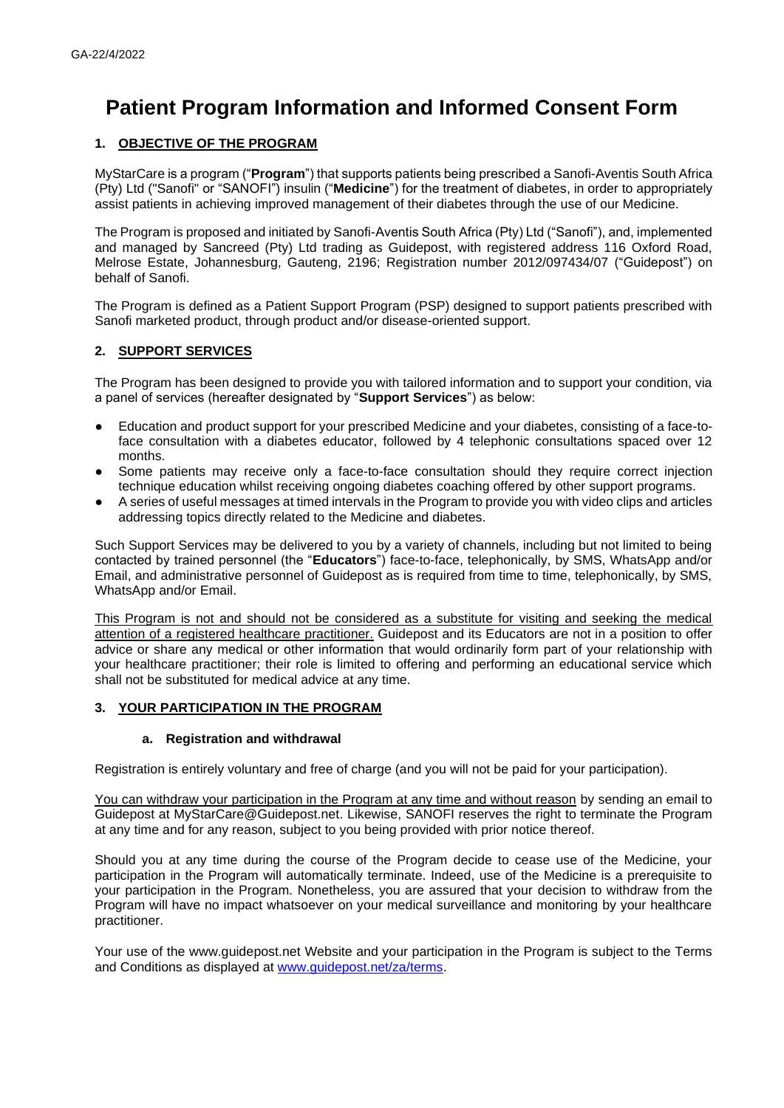# **Patient Program Information and Informed Consent Form**

# **1. OBJECTIVE OF THE PROGRAM**

MyStarCare is a program ("**Program**") that supports patients being prescribed a Sanofi-Aventis South Africa (Pty) Ltd ("Sanofi" or "SANOFI") insulin ("**Medicine**") for the treatment of diabetes, in order to appropriately assist patients in achieving improved management of their diabetes through the use of our Medicine.

The Program is proposed and initiated by Sanofi-Aventis South Africa (Pty) Ltd ("Sanofi"), and, implemented and managed by Sancreed (Pty) Ltd trading as Guidepost, with registered address 116 Oxford Road, Melrose Estate, Johannesburg, Gauteng, 2196; Registration number 2012/097434/07 ("Guidepost") on behalf of Sanofi.

The Program is defined as a Patient Support Program (PSP) designed to support patients prescribed with Sanofi marketed product, through product and/or disease-oriented support.

## **2. SUPPORT SERVICES**

The Program has been designed to provide you with tailored information and to support your condition, via a panel of services (hereafter designated by "**Support Services**") as below:

- Education and product support for your prescribed Medicine and your diabetes, consisting of a face-toface consultation with a diabetes educator, followed by 4 telephonic consultations spaced over 12 months.
- Some patients may receive only a face-to-face consultation should they require correct injection technique education whilst receiving ongoing diabetes coaching offered by other support programs.
- A series of useful messages at timed intervals in the Program to provide you with video clips and articles addressing topics directly related to the Medicine and diabetes.

Such Support Services may be delivered to you by a variety of channels, including but not limited to being contacted by trained personnel (the "**Educators**") face-to-face, telephonically, by SMS, WhatsApp and/or Email, and administrative personnel of Guidepost as is required from time to time, telephonically, by SMS, WhatsApp and/or Email.

This Program is not and should not be considered as a substitute for visiting and seeking the medical attention of a registered healthcare practitioner. Guidepost and its Educators are not in a position to offer advice or share any medical or other information that would ordinarily form part of your relationship with your healthcare practitioner; their role is limited to offering and performing an educational service which shall not be substituted for medical advice at any time.

## **3. YOUR PARTICIPATION IN THE PROGRAM**

#### **a. Registration and withdrawal**

Registration is entirely voluntary and free of charge (and you will not be paid for your participation).

You can withdraw your participation in the Program at any time and without reason by sending an email to Guidepost at [MyStarCare@Guidepost.net.](mailto:MyStarCare@Guidepost.net) Likewise, SANOFI reserves the right to terminate the Program at any time and for any reason, subject to you being provided with prior notice thereof.

Should you at any time during the course of the Program decide to cease use of the Medicine, your participation in the Program will automatically terminate. Indeed, use of the Medicine is a prerequisite to your participation in the Program. Nonetheless, you are assured that your decision to withdraw from the Program will have no impact whatsoever on your medical surveillance and monitoring by your healthcare practitioner.

Your use of the www.guidepost.net Website and your participation in the Program is subject to the Terms and Conditions as displayed at [www.guidepost.net/za/terms.](http://www.guidepost.net/za/terms)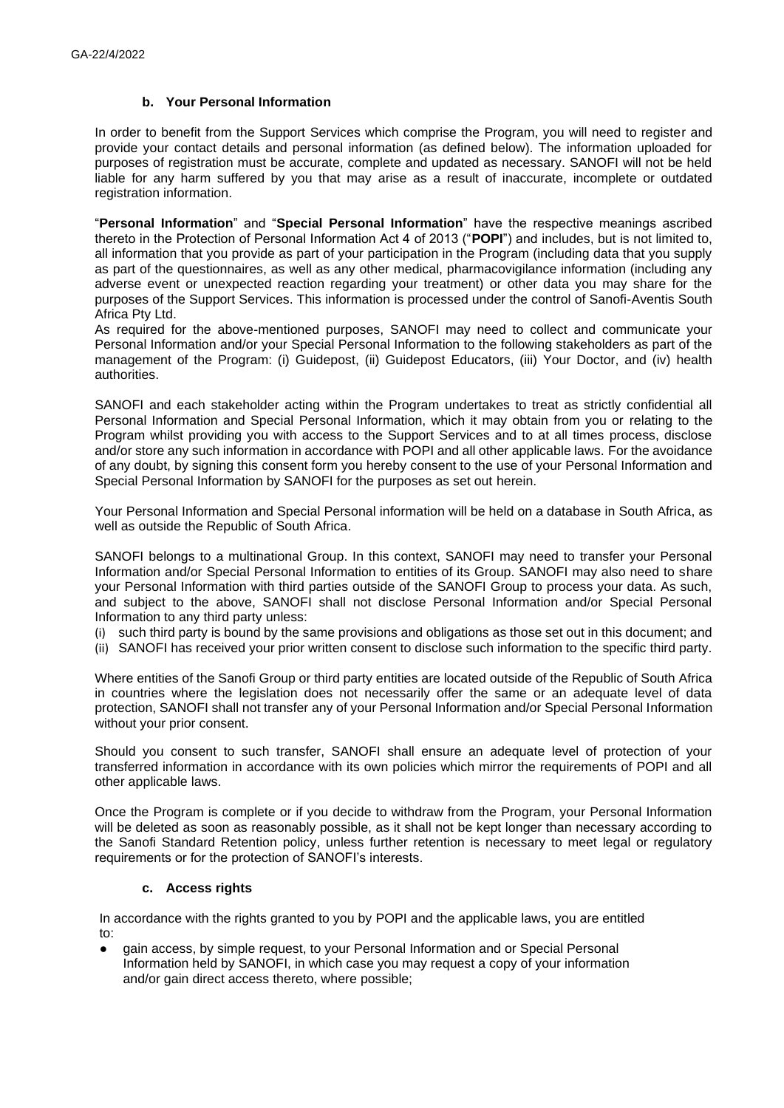#### **b. Your Personal Information**

In order to benefit from the Support Services which comprise the Program, you will need to register and provide your contact details and personal information (as defined below). The information uploaded for purposes of registration must be accurate, complete and updated as necessary. SANOFI will not be held liable for any harm suffered by you that may arise as a result of inaccurate, incomplete or outdated registration information.

"**Personal Information**" and "**Special Personal Information**" have the respective meanings ascribed thereto in the Protection of Personal Information Act 4 of 2013 ("**POPI**") and includes, but is not limited to, all information that you provide as part of your participation in the Program (including data that you supply as part of the questionnaires, as well as any other medical, pharmacovigilance information (including any adverse event or unexpected reaction regarding your treatment) or other data you may share for the purposes of the Support Services. This information is processed under the control of Sanofi-Aventis South Africa Pty Ltd.

As required for the above-mentioned purposes, SANOFI may need to collect and communicate your Personal Information and/or your Special Personal Information to the following stakeholders as part of the management of the Program: (i) Guidepost, (ii) Guidepost Educators, (iii) Your Doctor, and (iv) health authorities.

SANOFI and each stakeholder acting within the Program undertakes to treat as strictly confidential all Personal Information and Special Personal Information, which it may obtain from you or relating to the Program whilst providing you with access to the Support Services and to at all times process, disclose and/or store any such information in accordance with POPI and all other applicable laws. For the avoidance of any doubt, by signing this consent form you hereby consent to the use of your Personal Information and Special Personal Information by SANOFI for the purposes as set out herein.

Your Personal Information and Special Personal information will be held on a database in South Africa, as well as outside the Republic of South Africa.

SANOFI belongs to a multinational Group. In this context, SANOFI may need to transfer your Personal Information and/or Special Personal Information to entities of its Group. SANOFI may also need to share your Personal Information with third parties outside of the SANOFI Group to process your data. As such, and subject to the above, SANOFI shall not disclose Personal Information and/or Special Personal Information to any third party unless:

(i) such third party is bound by the same provisions and obligations as those set out in this document; and

(ii) SANOFI has received your prior written consent to disclose such information to the specific third party.

Where entities of the Sanofi Group or third party entities are located outside of the Republic of South Africa in countries where the legislation does not necessarily offer the same or an adequate level of data protection, SANOFI shall not transfer any of your Personal Information and/or Special Personal Information without your prior consent.

Should you consent to such transfer, SANOFI shall ensure an adequate level of protection of your transferred information in accordance with its own policies which mirror the requirements of POPI and all other applicable laws.

Once the Program is complete or if you decide to withdraw from the Program, your Personal Information will be deleted as soon as reasonably possible, as it shall not be kept longer than necessary according to the Sanofi Standard Retention policy, unless further retention is necessary to meet legal or regulatory requirements or for the protection of SANOFI's interests.

#### **c. Access rights**

In accordance with the rights granted to you by POPI and the applicable laws, you are entitled to:

gain access, by simple request, to your Personal Information and or Special Personal Information held by SANOFI, in which case you may request a copy of your information and/or gain direct access thereto, where possible;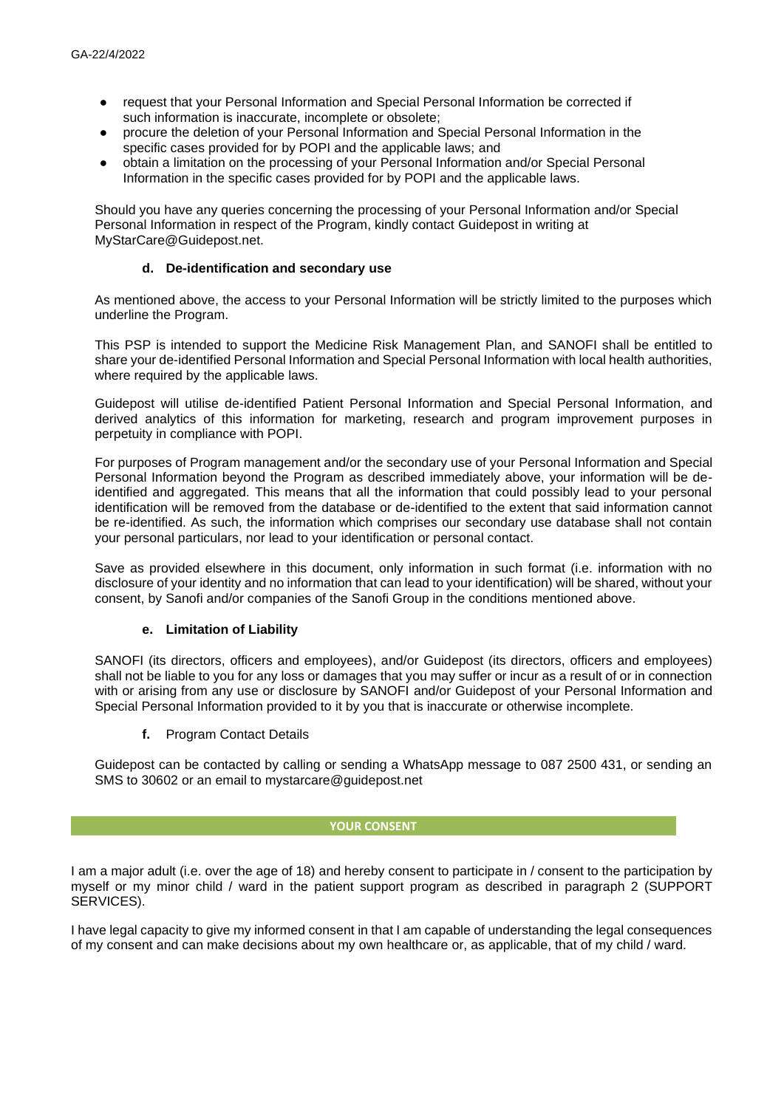- request that your Personal Information and Special Personal Information be corrected if such information is inaccurate, incomplete or obsolete;
- procure the deletion of your Personal Information and Special Personal Information in the specific cases provided for by POPI and the applicable laws; and
- obtain a limitation on the processing of your Personal Information and/or Special Personal Information in the specific cases provided for by POPI and the applicable laws.

Should you have any queries concerning the processing of your Personal Information and/or Special Personal Information in respect of the Program, kindly contact Guidepost in writing at MyStarCare@Guidepost.net.

#### **d. De-identification and secondary use**

As mentioned above, the access to your Personal Information will be strictly limited to the purposes which underline the Program.

This PSP is intended to support the Medicine Risk Management Plan, and SANOFI shall be entitled to share your de-identified Personal Information and Special Personal Information with local health authorities, where required by the applicable laws.

Guidepost will utilise de-identified Patient Personal Information and Special Personal Information, and derived analytics of this information for marketing, research and program improvement purposes in perpetuity in compliance with POPI.

For purposes of Program management and/or the secondary use of your Personal Information and Special Personal Information beyond the Program as described immediately above, your information will be deidentified and aggregated. This means that all the information that could possibly lead to your personal identification will be removed from the database or de-identified to the extent that said information cannot be re-identified. As such, the information which comprises our secondary use database shall not contain your personal particulars, nor lead to your identification or personal contact.

Save as provided elsewhere in this document, only information in such format (i.e. information with no disclosure of your identity and no information that can lead to your identification) will be shared, without your consent, by Sanofi and/or companies of the Sanofi Group in the conditions mentioned above.

## **e. Limitation of Liability**

SANOFI (its directors, officers and employees), and/or Guidepost (its directors, officers and employees) shall not be liable to you for any loss or damages that you may suffer or incur as a result of or in connection with or arising from any use or disclosure by SANOFI and/or Guidepost of your Personal Information and Special Personal Information provided to it by you that is inaccurate or otherwise incomplete.

**f.** Program Contact Details

Guidepost can be contacted by calling or sending a WhatsApp message to 087 2500 431, or sending an SMS to 30602 or an email to mystarcare@guidepost.net

#### **YOUR CONSENT**

I am a major adult (i.e. over the age of 18) and hereby consent to participate in / consent to the participation by myself or my minor child / ward in the patient support program as described in paragraph 2 (SUPPORT SERVICES).

I have legal capacity to give my informed consent in that I am capable of understanding the legal consequences of my consent and can make decisions about my own healthcare or, as applicable, that of my child / ward.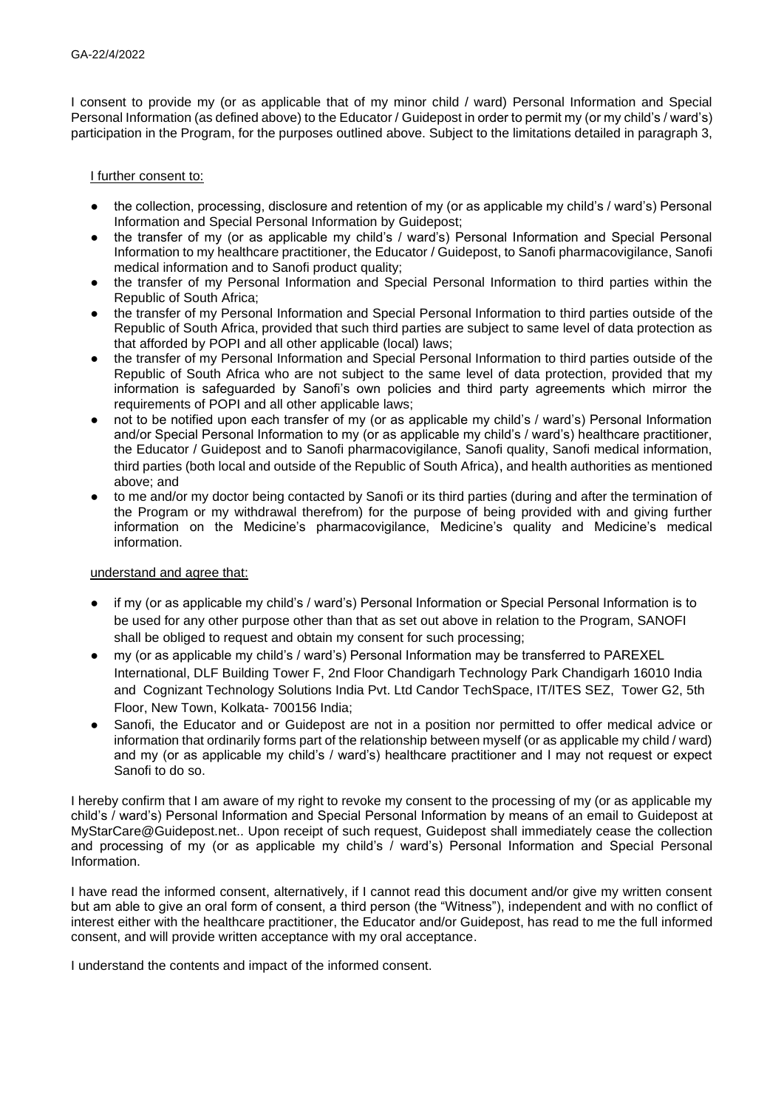I consent to provide my (or as applicable that of my minor child / ward) Personal Information and Special Personal Information (as defined above) to the Educator / Guidepost in order to permit my (or my child's / ward's) participation in the Program, for the purposes outlined above. Subject to the limitations detailed in paragraph 3,

## I further consent to:

- the collection, processing, disclosure and retention of my (or as applicable my child's / ward's) Personal Information and Special Personal Information by Guidepost;
- the transfer of my (or as applicable my child's / ward's) Personal Information and Special Personal Information to my healthcare practitioner, the Educator / Guidepost, to Sanofi pharmacovigilance, Sanofi medical information and to Sanofi product quality;
- the transfer of my Personal Information and Special Personal Information to third parties within the Republic of South Africa;
- the transfer of my Personal Information and Special Personal Information to third parties outside of the Republic of South Africa, provided that such third parties are subject to same level of data protection as that afforded by POPI and all other applicable (local) laws;
- the transfer of my Personal Information and Special Personal Information to third parties outside of the Republic of South Africa who are not subject to the same level of data protection, provided that my information is safeguarded by Sanofi's own policies and third party agreements which mirror the requirements of POPI and all other applicable laws;
- not to be notified upon each transfer of my (or as applicable my child's / ward's) Personal Information and/or Special Personal Information to my (or as applicable my child's / ward's) healthcare practitioner, the Educator / Guidepost and to Sanofi pharmacovigilance, Sanofi quality, Sanofi medical information, third parties (both local and outside of the Republic of South Africa), and health authorities as mentioned above; and
- to me and/or my doctor being contacted by Sanofi or its third parties (during and after the termination of the Program or my withdrawal therefrom) for the purpose of being provided with and giving further information on the Medicine's pharmacovigilance, Medicine's quality and Medicine's medical information.

#### understand and agree that:

- if my (or as applicable my child's / ward's) Personal Information or Special Personal Information is to be used for any other purpose other than that as set out above in relation to the Program, SANOFI shall be obliged to request and obtain my consent for such processing;
- my (or as applicable my child's / ward's) Personal Information may be transferred to PAREXEL International, DLF Building Tower F, 2nd Floor Chandigarh Technology Park Chandigarh 16010 India and Cognizant Technology Solutions India Pvt. Ltd Candor TechSpace, IT/ITES SEZ, Tower G2, 5th Floor, New Town, Kolkata- 700156 India;
- Sanofi, the Educator and or Guidepost are not in a position nor permitted to offer medical advice or information that ordinarily forms part of the relationship between myself (or as applicable my child / ward) and my (or as applicable my child's / ward's) healthcare practitioner and I may not request or expect Sanofi to do so.

I hereby confirm that I am aware of my right to revoke my consent to the processing of my (or as applicable my child's / ward's) Personal Information and Special Personal Information by means of an email to Guidepost at MyStarCare@Guidepost.net.. Upon receipt of such request, Guidepost shall immediately cease the collection and processing of my (or as applicable my child's / ward's) Personal Information and Special Personal Information.

I have read the informed consent, alternatively, if I cannot read this document and/or give my written consent but am able to give an oral form of consent, a third person (the "Witness"), independent and with no conflict of interest either with the healthcare practitioner, the Educator and/or Guidepost, has read to me the full informed consent, and will provide written acceptance with my oral acceptance.

I understand the contents and impact of the informed consent.